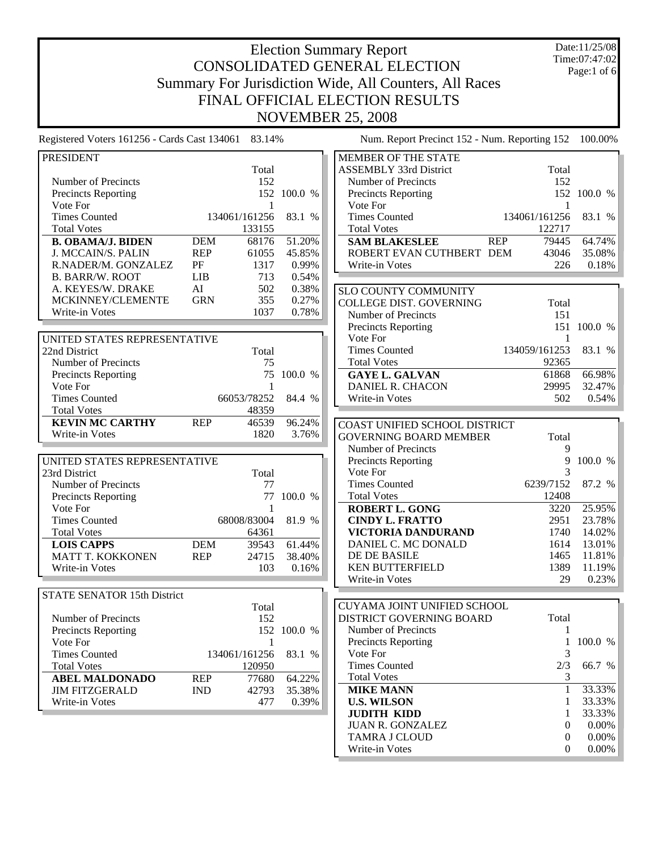Date:11/25/08 Time:07:47:02 Page:1 of 6

Registered Voters 161256 - Cards Cast 134061 83.14% Num. Report Precinct 152 - Num. Reporting 152 100.00%

Write-in Votes 0 0.00%

| <b>PRESIDENT</b>                   |                     |             | MEMBER OF THE STATE                         |               |
|------------------------------------|---------------------|-------------|---------------------------------------------|---------------|
|                                    | Total               |             | Total<br><b>ASSEMBLY 33rd District</b>      |               |
| Number of Precincts                | 152                 |             | Number of Precincts<br>152                  |               |
| Precincts Reporting                |                     | 152 100.0 % | Precincts Reporting                         | 152 100.0 %   |
| Vote For                           | $\mathbf{1}$        |             | Vote For                                    | 1             |
| <b>Times Counted</b>               | 134061/161256       | 83.1 %      | <b>Times Counted</b><br>134061/161256       | 83.1 %        |
| <b>Total Votes</b>                 | 133155              |             | <b>Total Votes</b><br>122717                |               |
| <b>B. OBAMA/J. BIDEN</b>           | <b>DEM</b><br>68176 | 51.20%      | <b>REP</b><br><b>SAM BLAKESLEE</b><br>79445 | 64.74%        |
| J. MCCAIN/S. PALIN                 | <b>REP</b><br>61055 | 45.85%      | ROBERT EVAN CUTHBERT DEM<br>43046           | 35.08%        |
| R.NADER/M. GONZALEZ                | PF<br>1317          | 0.99%       | Write-in Votes<br>226                       | 0.18%         |
| <b>B. BARR/W. ROOT</b>             | LIB<br>713          | 0.54%       |                                             |               |
| A. KEYES/W. DRAKE                  | AI<br>502           | 0.38%       | SLO COUNTY COMMUNITY                        |               |
| MCKINNEY/CLEMENTE                  | <b>GRN</b><br>355   | 0.27%       | COLLEGE DIST. GOVERNING<br>Total            |               |
| Write-in Votes                     | 1037                | 0.78%       | Number of Precincts<br>151                  |               |
|                                    |                     |             | Precincts Reporting                         | 151 100.0 %   |
| UNITED STATES REPRESENTATIVE       |                     |             | Vote For                                    | 1             |
| 22nd District                      | Total               |             | <b>Times Counted</b><br>134059/161253       | 83.1 %        |
| Number of Precincts                | 75                  |             | <b>Total Votes</b><br>92365                 |               |
| <b>Precincts Reporting</b>         |                     | 75 100.0 %  | <b>GAYE L. GALVAN</b><br>61868              | 66.98%        |
| Vote For                           | $\overline{1}$      |             | 29995<br>DANIEL R. CHACON                   | 32.47%        |
| <b>Times Counted</b>               | 66053/78252 84.4 %  |             | 502<br>Write-in Votes                       | 0.54%         |
| <b>Total Votes</b>                 | 48359               |             |                                             |               |
| <b>KEVIN MC CARTHY</b>             | <b>REP</b><br>46539 | 96.24%      |                                             |               |
| Write-in Votes                     | 1820                | 3.76%       | COAST UNIFIED SCHOOL DISTRICT               |               |
|                                    |                     |             | <b>GOVERNING BOARD MEMBER</b><br>Total      |               |
|                                    |                     |             | Number of Precincts                         | 9             |
| UNITED STATES REPRESENTATIVE       |                     |             | Precincts Reporting                         | 9<br>100.0 %  |
| 23rd District                      | Total               |             | Vote For                                    | 3             |
| Number of Precincts                | 77                  |             | 6239/7152<br><b>Times Counted</b>           | 87.2 %        |
| Precincts Reporting                |                     | 77 100.0 %  | 12408<br><b>Total Votes</b>                 |               |
| Vote For                           | $\overline{1}$      |             | <b>ROBERT L. GONG</b><br>3220               | 25.95%        |
| <b>Times Counted</b>               | 68008/83004         | 81.9 %      | 2951<br><b>CINDY L. FRATTO</b>              | 23.78%        |
| <b>Total Votes</b>                 | 64361               |             | VICTORIA DANDURAND<br>1740                  | 14.02%        |
| <b>LOIS CAPPS</b>                  | 39543<br><b>DEM</b> | 61.44%      | DANIEL C. MC DONALD<br>1614                 | 13.01%        |
| MATT T. KOKKONEN                   | <b>REP</b><br>24715 | 38.40%      | DE DE BASILE<br>1465                        | 11.81%        |
| Write-in Votes                     | 103                 | 0.16%       | <b>KEN BUTTERFIELD</b><br>1389              | 11.19%        |
|                                    |                     |             | Write-in Votes                              | 29<br>0.23%   |
| <b>STATE SENATOR 15th District</b> |                     |             |                                             |               |
|                                    | Total               |             | CUYAMA JOINT UNIFIED SCHOOL                 |               |
| Number of Precincts                | 152                 |             | DISTRICT GOVERNING BOARD<br>Total           |               |
| <b>Precincts Reporting</b>         |                     | 152 100.0 % | Number of Precincts                         |               |
| Vote For                           | 1                   |             | Precincts Reporting                         | 100.0 %<br>1  |
| <b>Times Counted</b>               | 134061/161256       | 83.1 %      | Vote For                                    | 3             |
| <b>Total Votes</b>                 | 120950              |             | <b>Times Counted</b><br>2/3                 | 66.7 %        |
| <b>ABEL MALDONADO</b>              | <b>REP</b><br>77680 | 64.22%      | <b>Total Votes</b>                          | 3             |
| <b>JIM FITZGERALD</b>              | <b>IND</b><br>42793 | 35.38%      | <b>MIKE MANN</b>                            | 33.33%<br>1   |
| Write-in Votes                     | 477                 | 0.39%       | <b>U.S. WILSON</b>                          | 33.33%<br>1   |
|                                    |                     |             | <b>JUDITH KIDD</b>                          | 33.33%<br>1   |
|                                    |                     |             | <b>JUAN R. GONZALEZ</b>                     | $0.00\%$<br>0 |
|                                    |                     |             | TAMRA J CLOUD                               | $0.00\%$<br>0 |
|                                    |                     |             |                                             |               |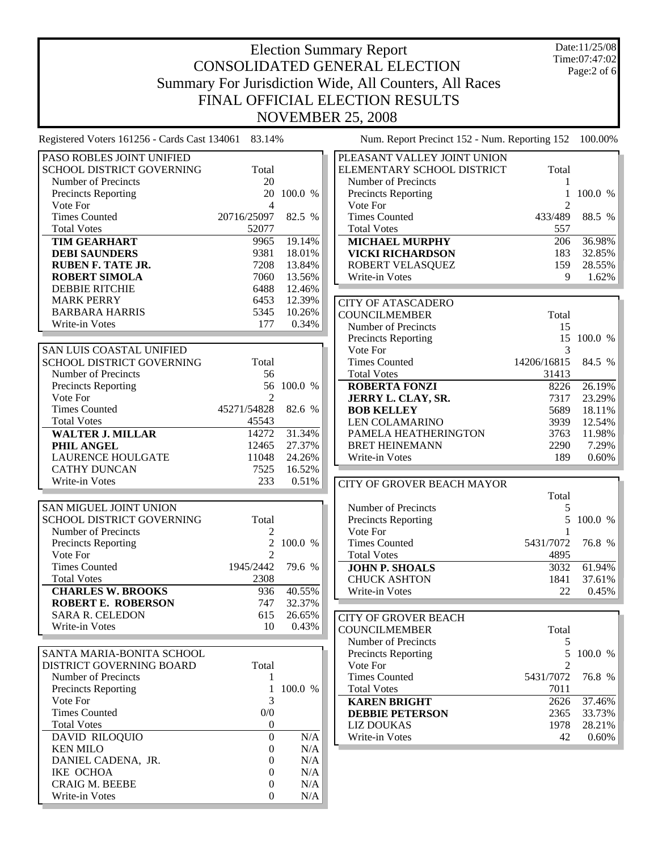Date:11/25/08 Time:07:47:02 Page:2 of 6

| PASO ROBLES JOINT UNIFIED        |                |            | PLEASANT VALLEY JOINT UNION       |
|----------------------------------|----------------|------------|-----------------------------------|
| <b>SCHOOL DISTRICT GOVERNING</b> | Total          |            | ELEMENTARY SCHOOL DISTRICT        |
| Number of Precincts              | 20             |            | Number of Precincts               |
| <b>Precincts Reporting</b>       |                | 20 100.0 % | Precincts Reporting               |
| Vote For                         | $\overline{4}$ |            | Vote For                          |
| <b>Times Counted</b>             | 20716/25097    | 82.5 %     | <b>Times Counted</b>              |
| <b>Total Votes</b>               | 52077          |            | <b>Total Votes</b>                |
| <b>TIM GEARHART</b>              | 9965           | 19.14%     | <b>MICHAEL MURPHY</b>             |
| <b>DEBI SAUNDERS</b>             | 9381           | 18.01%     | <b>VICKI RICHARDSON</b>           |
| <b>RUBEN F. TATE JR.</b>         | 7208           | 13.84%     | ROBERT VELASQUEZ                  |
| <b>ROBERT SIMOLA</b>             | 7060           | 13.56%     | Write-in Votes                    |
| <b>DEBBIE RITCHIE</b>            | 6488           | 12.46%     |                                   |
| <b>MARK PERRY</b>                | 6453           | 12.39%     | <b>CITY OF ATASCADERO</b>         |
| <b>BARBARA HARRIS</b>            | 5345           | 10.26%     | <b>COUNCILMEMBER</b>              |
| Write-in Votes                   | 177            | 0.34%      | Number of Precincts               |
|                                  |                |            | Precincts Reporting               |
| <b>SAN LUIS COASTAL UNIFIED</b>  |                |            | Vote For                          |
| SCHOOL DISTRICT GOVERNING        | Total          |            | <b>Times Counted</b>              |
| Number of Precincts              | 56             |            | <b>Total Votes</b>                |
| <b>Precincts Reporting</b>       |                | 56 100.0 % | <b>ROBERTA FONZI</b>              |
| Vote For                         | $\mathfrak{D}$ |            | JERRY L. CLAY, SR.                |
| <b>Times Counted</b>             | 45271/54828    | 82.6 %     | <b>BOB KELLEY</b>                 |
| <b>Total Votes</b>               | 45543          |            | <b>LEN COLAMARINO</b>             |
| <b>WALTER J. MILLAR</b>          | 14272          | 31.34%     | PAMELA HEATHERINGTON              |
| PHIL ANGEL                       | 12465          | 27.37%     | <b>BRET HEINEMANN</b>             |
| <b>LAURENCE HOULGATE</b>         | 11048          | 24.26%     | Write-in Votes                    |
| <b>CATHY DUNCAN</b>              | 7525           | 16.52%     |                                   |
| Write-in Votes                   | 233            | 0.51%      | <b>CITY OF GROVER BEACH MAYOR</b> |
|                                  |                |            |                                   |
| SAN MIGUEL JOINT UNION           |                |            | Number of Precincts               |
| SCHOOL DISTRICT GOVERNING        | Total          |            | <b>Precincts Reporting</b>        |
| Number of Precincts              | 2              |            | Vote For                          |
| <b>Precincts Reporting</b>       | $\overline{2}$ | 100.0 %    | <b>Times Counted</b>              |
| Vote For                         | $\mathfrak{D}$ |            | <b>Total Votes</b>                |
| <b>Times Counted</b>             | 1945/2442      | 79.6 %     | <b>JOHN P. SHOALS</b>             |
| <b>Total Votes</b>               | 2308           |            | <b>CHUCK ASHTON</b>               |
| <b>CHARLES W. BROOKS</b>         | 936            | 40.55%     | Write-in Votes                    |
| <b>ROBERT E. ROBERSON</b>        | 747            | 32.37%     |                                   |
| <b>SARA R. CELEDON</b>           | 615            | 26.65%     | <b>CITY OF GROVER BEACH</b>       |
| Write-in Votes                   | 10             | 0.43%      | COUNCIL MEMBER                    |

| SANTA MARIA-BONITA SCHOOL  |       |           |
|----------------------------|-------|-----------|
| DISTRICT GOVERNING BOARD   | Total |           |
| Number of Precincts        |       |           |
| <b>Precincts Reporting</b> |       | $100.0\%$ |
| Vote For                   | 3     |           |
| <b>Times Counted</b>       | 0/0   |           |
| <b>Total Votes</b>         |       |           |
| <b>DAVID RILOQUIO</b>      |       | N/A       |
| <b>KEN MILO</b>            |       | N/A       |
| DANIEL CADENA, JR.         |       | N/A       |
| <b>IKE OCHOA</b>           |       | N/A       |
| <b>CRAIG M. BEEBE</b>      |       | N/A       |
| Write-in Votes             |       | N/A       |
|                            |       |           |

| ELEMENTARY SCHOOL DISTRICT | Total   |         |
|----------------------------|---------|---------|
| Number of Precincts        |         |         |
| <b>Precincts Reporting</b> |         | 100.0 % |
| Vote For                   |         |         |
| Times Counted              | 433/489 | 88.5 %  |
| <b>Total Votes</b>         | 557     |         |
| <b>MICHAEL MURPHY</b>      | 206     | 36.98%  |
| VICKI RICHARDSON           | 183     | 32.85%  |
| ROBERT VELASQUEZ           | 159     | 28.55%  |
| Write-in Votes             | 9       | 1.62%   |
|                            |         |         |
| $CITV$ OF ATACCADEDO       |         |         |

| ULLY UF ATASUADEKU         |             |                  |
|----------------------------|-------------|------------------|
| COUNCILMEMBER              | Total       |                  |
| Number of Precincts        | 15          |                  |
| <b>Precincts Reporting</b> |             | 15 100.0<br>$\%$ |
| Vote For                   | 3           |                  |
| Times Counted              | 14206/16815 | 84.5 %           |
| <b>Total Votes</b>         | 31413       |                  |
| <b>ROBERTA FONZI</b>       | 8226        | 26.19%           |
| JERRY L. CLAY, SR.         | 7317        | 23.29%           |
| <b>BOB KELLEY</b>          | 5689        | 18.11%           |
| LEN COLAMARINO             | 3939        | 12.54%           |
| PAMELA HEATHERINGTON       | 3763        | 11.98%           |
| <b>BRET HEINEMANN</b>      | 2290        | 7.29%            |
| Write-in Votes             | 189         | $0.60\%$         |

| CITY OF GROVER BEACH MAYOR |                  |           |
|----------------------------|------------------|-----------|
|                            | Total            |           |
| Number of Precincts        |                  |           |
| <b>Precincts Reporting</b> |                  | 5 100.0 % |
| Vote For                   |                  |           |
| <b>Times Counted</b>       | 5431/7072 76.8 % |           |
| <b>Total Votes</b>         | 4895             |           |
| <b>JOHN P. SHOALS</b>      | 3032             | 61.94%    |
| <b>CHUCK ASHTON</b>        | 1841             | 37.61%    |
| Write-in Votes             | 22               | 0.45%     |

| CITY OF GROVER BEACH       |                             |           |
|----------------------------|-----------------------------|-----------|
| COUNCILMEMBER              | Total                       |           |
| Number of Precincts        | 5                           |           |
| <b>Precincts Reporting</b> |                             | 5 100.0 % |
| Vote For                   | $\mathcal{D}_{\mathcal{A}}$ |           |
| <b>Times Counted</b>       | 5431/7072                   | 76.8 %    |
| <b>Total Votes</b>         | 7011                        |           |
| <b>KAREN BRIGHT</b>        | 2626                        | 37.46%    |
| <b>DEBBIE PETERSON</b>     | 2365                        | 33.73%    |
| LIZ DOUKAS                 | 1978                        | 28.21%    |
| Write-in Votes             | 42                          | 0.60%     |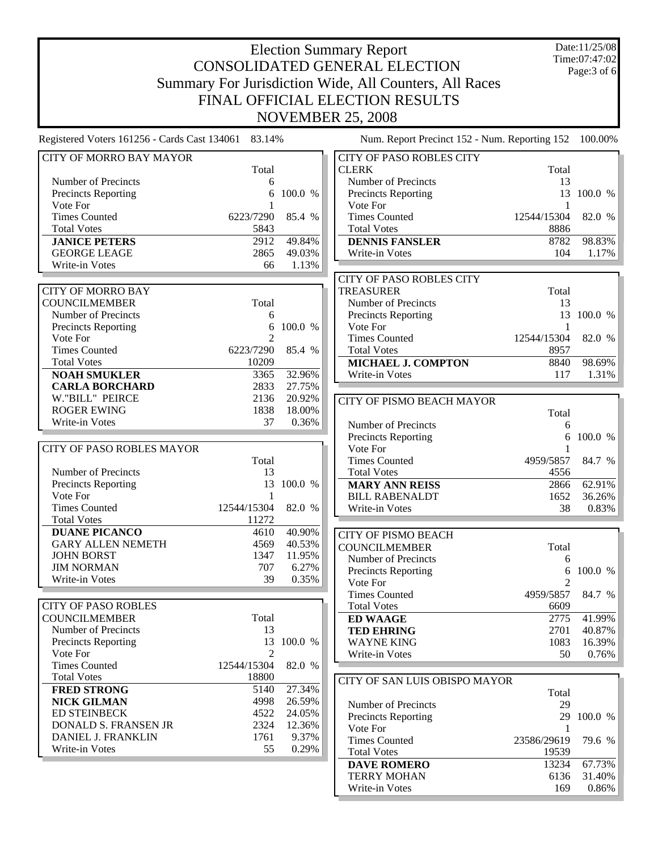Date:11/25/08 Time:07:47:02 Page:3 of 6

| Total<br><b>CLERK</b><br>Number of Precincts<br>Number o<br>6<br>Precincts Reporting<br>6<br>100.0 %<br>Precincts <sup>1</sup><br>Vote For<br>Vote For<br>1<br><b>Times Counted</b><br>6223/7290<br>85.4 %<br>Times Co<br><b>Total Votes</b><br>5843<br>Total Vote<br>49.84%<br>2912<br><b>JANICE PETERS</b><br><b>DENNIS</b><br><b>GEORGE LEAGE</b><br>2865<br>49.03%<br>Write-in \<br>Write-in Votes<br>66<br>1.13%<br><b>CITY OF MORRO BAY</b><br><b>COUNCILMEMBER</b><br>Total<br>Number of Precincts<br>6<br>100.0 %<br><b>Precincts Reporting</b><br>6<br>Vote For<br>$\mathfrak{D}$<br><b>Times Counted</b><br>6223/7290<br>85.4 %<br><b>Total Votes</b><br>10209<br><b>NOAH SMUKLER</b><br>32.96%<br>3365<br>27.75%<br><b>CARLA BORCHARD</b><br>2833<br>W."BILL" PEIRCE<br>2136<br>20.92%<br><b>ROGER EWING</b><br>1838<br>18.00%<br>Write-in Votes<br>37<br>0.36%<br><b>CITY OF PASO ROBLES MAYOR</b><br>Total<br>Number of Precincts<br>13<br>13<br>Precincts Reporting<br>100.0 %<br>Vote For<br>1<br><b>Times Counted</b><br>12544/15304<br>82.0 %<br><b>Total Votes</b><br>11272<br><b>DUANE PICANCO</b><br>40.90%<br>4610<br><b>GARY ALLEN NEMETH</b><br>40.53%<br>4569<br><b>JOHN BORST</b><br>1347<br>11.95%<br><b>JIM NORMAN</b><br>707<br>6.27%<br>Write-in Votes<br>39<br>0.35%<br><b>CITY OF PASO ROBLES</b><br><b>COUNCILMEMBER</b><br>Total<br>Number of Precincts<br>13<br>Precincts Reporting<br>100.0 %<br>13<br>Vote For<br>2<br><b>Times Counted</b><br>12544/15304<br>82.0 %<br><b>Total Votes</b><br>18800<br><b>FRED STRONG</b><br>5140<br>27.34%<br><b>NICK GILMAN</b><br>4998<br>26.59%<br><b>ED STEINBECK</b><br>4522<br>24.05%<br><b>DONALD S. FRANSEN JR</b><br>2324<br>12.36%<br>Vote For<br>DANIEL J. FRANKLIN<br>1761<br>9.37%<br>Write-in Votes<br>55<br>0.29% | <b>CITY OF MORRO BAY MAYOR</b> |  | CITY OF PA        |
|-------------------------------------------------------------------------------------------------------------------------------------------------------------------------------------------------------------------------------------------------------------------------------------------------------------------------------------------------------------------------------------------------------------------------------------------------------------------------------------------------------------------------------------------------------------------------------------------------------------------------------------------------------------------------------------------------------------------------------------------------------------------------------------------------------------------------------------------------------------------------------------------------------------------------------------------------------------------------------------------------------------------------------------------------------------------------------------------------------------------------------------------------------------------------------------------------------------------------------------------------------------------------------------------------------------------------------------------------------------------------------------------------------------------------------------------------------------------------------------------------------------------------------------------------------------------------------------------------------------------------------------------------------------------------------------------------------------------------------------------------------------------------------------------------------|--------------------------------|--|-------------------|
|                                                                                                                                                                                                                                                                                                                                                                                                                                                                                                                                                                                                                                                                                                                                                                                                                                                                                                                                                                                                                                                                                                                                                                                                                                                                                                                                                                                                                                                                                                                                                                                                                                                                                                                                                                                                       |                                |  |                   |
|                                                                                                                                                                                                                                                                                                                                                                                                                                                                                                                                                                                                                                                                                                                                                                                                                                                                                                                                                                                                                                                                                                                                                                                                                                                                                                                                                                                                                                                                                                                                                                                                                                                                                                                                                                                                       |                                |  |                   |
|                                                                                                                                                                                                                                                                                                                                                                                                                                                                                                                                                                                                                                                                                                                                                                                                                                                                                                                                                                                                                                                                                                                                                                                                                                                                                                                                                                                                                                                                                                                                                                                                                                                                                                                                                                                                       |                                |  |                   |
|                                                                                                                                                                                                                                                                                                                                                                                                                                                                                                                                                                                                                                                                                                                                                                                                                                                                                                                                                                                                                                                                                                                                                                                                                                                                                                                                                                                                                                                                                                                                                                                                                                                                                                                                                                                                       |                                |  |                   |
|                                                                                                                                                                                                                                                                                                                                                                                                                                                                                                                                                                                                                                                                                                                                                                                                                                                                                                                                                                                                                                                                                                                                                                                                                                                                                                                                                                                                                                                                                                                                                                                                                                                                                                                                                                                                       |                                |  |                   |
|                                                                                                                                                                                                                                                                                                                                                                                                                                                                                                                                                                                                                                                                                                                                                                                                                                                                                                                                                                                                                                                                                                                                                                                                                                                                                                                                                                                                                                                                                                                                                                                                                                                                                                                                                                                                       |                                |  |                   |
|                                                                                                                                                                                                                                                                                                                                                                                                                                                                                                                                                                                                                                                                                                                                                                                                                                                                                                                                                                                                                                                                                                                                                                                                                                                                                                                                                                                                                                                                                                                                                                                                                                                                                                                                                                                                       |                                |  |                   |
| CITY OF PA<br><b>TREASURE</b><br>Number o<br>Precincts 1<br>Vote For<br>Times Co<br><b>Total Vote</b><br><b>MICHAE</b><br>Write-in \<br><b>MARY A</b><br>Write-in \<br><b>CITY OF PI</b><br><b>COUNCILM</b><br>Number o<br>Precincts 1<br>Vote For<br>Times Co<br><b>Total Vote</b><br><b>ED WAA</b><br><b>TED EHI</b><br>CITY OF SA<br>Number o<br>Precincts 1<br>Times Co<br>Total Vote                                                                                                                                                                                                                                                                                                                                                                                                                                                                                                                                                                                                                                                                                                                                                                                                                                                                                                                                                                                                                                                                                                                                                                                                                                                                                                                                                                                                             |                                |  |                   |
|                                                                                                                                                                                                                                                                                                                                                                                                                                                                                                                                                                                                                                                                                                                                                                                                                                                                                                                                                                                                                                                                                                                                                                                                                                                                                                                                                                                                                                                                                                                                                                                                                                                                                                                                                                                                       |                                |  |                   |
|                                                                                                                                                                                                                                                                                                                                                                                                                                                                                                                                                                                                                                                                                                                                                                                                                                                                                                                                                                                                                                                                                                                                                                                                                                                                                                                                                                                                                                                                                                                                                                                                                                                                                                                                                                                                       |                                |  |                   |
|                                                                                                                                                                                                                                                                                                                                                                                                                                                                                                                                                                                                                                                                                                                                                                                                                                                                                                                                                                                                                                                                                                                                                                                                                                                                                                                                                                                                                                                                                                                                                                                                                                                                                                                                                                                                       |                                |  |                   |
|                                                                                                                                                                                                                                                                                                                                                                                                                                                                                                                                                                                                                                                                                                                                                                                                                                                                                                                                                                                                                                                                                                                                                                                                                                                                                                                                                                                                                                                                                                                                                                                                                                                                                                                                                                                                       |                                |  |                   |
|                                                                                                                                                                                                                                                                                                                                                                                                                                                                                                                                                                                                                                                                                                                                                                                                                                                                                                                                                                                                                                                                                                                                                                                                                                                                                                                                                                                                                                                                                                                                                                                                                                                                                                                                                                                                       |                                |  |                   |
|                                                                                                                                                                                                                                                                                                                                                                                                                                                                                                                                                                                                                                                                                                                                                                                                                                                                                                                                                                                                                                                                                                                                                                                                                                                                                                                                                                                                                                                                                                                                                                                                                                                                                                                                                                                                       |                                |  |                   |
|                                                                                                                                                                                                                                                                                                                                                                                                                                                                                                                                                                                                                                                                                                                                                                                                                                                                                                                                                                                                                                                                                                                                                                                                                                                                                                                                                                                                                                                                                                                                                                                                                                                                                                                                                                                                       |                                |  |                   |
|                                                                                                                                                                                                                                                                                                                                                                                                                                                                                                                                                                                                                                                                                                                                                                                                                                                                                                                                                                                                                                                                                                                                                                                                                                                                                                                                                                                                                                                                                                                                                                                                                                                                                                                                                                                                       |                                |  |                   |
|                                                                                                                                                                                                                                                                                                                                                                                                                                                                                                                                                                                                                                                                                                                                                                                                                                                                                                                                                                                                                                                                                                                                                                                                                                                                                                                                                                                                                                                                                                                                                                                                                                                                                                                                                                                                       |                                |  |                   |
|                                                                                                                                                                                                                                                                                                                                                                                                                                                                                                                                                                                                                                                                                                                                                                                                                                                                                                                                                                                                                                                                                                                                                                                                                                                                                                                                                                                                                                                                                                                                                                                                                                                                                                                                                                                                       |                                |  |                   |
|                                                                                                                                                                                                                                                                                                                                                                                                                                                                                                                                                                                                                                                                                                                                                                                                                                                                                                                                                                                                                                                                                                                                                                                                                                                                                                                                                                                                                                                                                                                                                                                                                                                                                                                                                                                                       |                                |  |                   |
|                                                                                                                                                                                                                                                                                                                                                                                                                                                                                                                                                                                                                                                                                                                                                                                                                                                                                                                                                                                                                                                                                                                                                                                                                                                                                                                                                                                                                                                                                                                                                                                                                                                                                                                                                                                                       |                                |  |                   |
|                                                                                                                                                                                                                                                                                                                                                                                                                                                                                                                                                                                                                                                                                                                                                                                                                                                                                                                                                                                                                                                                                                                                                                                                                                                                                                                                                                                                                                                                                                                                                                                                                                                                                                                                                                                                       |                                |  | <b>CITY OF PI</b> |
|                                                                                                                                                                                                                                                                                                                                                                                                                                                                                                                                                                                                                                                                                                                                                                                                                                                                                                                                                                                                                                                                                                                                                                                                                                                                                                                                                                                                                                                                                                                                                                                                                                                                                                                                                                                                       |                                |  |                   |
|                                                                                                                                                                                                                                                                                                                                                                                                                                                                                                                                                                                                                                                                                                                                                                                                                                                                                                                                                                                                                                                                                                                                                                                                                                                                                                                                                                                                                                                                                                                                                                                                                                                                                                                                                                                                       |                                |  | Number o          |
|                                                                                                                                                                                                                                                                                                                                                                                                                                                                                                                                                                                                                                                                                                                                                                                                                                                                                                                                                                                                                                                                                                                                                                                                                                                                                                                                                                                                                                                                                                                                                                                                                                                                                                                                                                                                       |                                |  | Precincts 1       |
|                                                                                                                                                                                                                                                                                                                                                                                                                                                                                                                                                                                                                                                                                                                                                                                                                                                                                                                                                                                                                                                                                                                                                                                                                                                                                                                                                                                                                                                                                                                                                                                                                                                                                                                                                                                                       |                                |  | Vote For          |
|                                                                                                                                                                                                                                                                                                                                                                                                                                                                                                                                                                                                                                                                                                                                                                                                                                                                                                                                                                                                                                                                                                                                                                                                                                                                                                                                                                                                                                                                                                                                                                                                                                                                                                                                                                                                       |                                |  | Times Co          |
|                                                                                                                                                                                                                                                                                                                                                                                                                                                                                                                                                                                                                                                                                                                                                                                                                                                                                                                                                                                                                                                                                                                                                                                                                                                                                                                                                                                                                                                                                                                                                                                                                                                                                                                                                                                                       |                                |  | <b>Total Vote</b> |
|                                                                                                                                                                                                                                                                                                                                                                                                                                                                                                                                                                                                                                                                                                                                                                                                                                                                                                                                                                                                                                                                                                                                                                                                                                                                                                                                                                                                                                                                                                                                                                                                                                                                                                                                                                                                       |                                |  |                   |
|                                                                                                                                                                                                                                                                                                                                                                                                                                                                                                                                                                                                                                                                                                                                                                                                                                                                                                                                                                                                                                                                                                                                                                                                                                                                                                                                                                                                                                                                                                                                                                                                                                                                                                                                                                                                       |                                |  | <b>BILL RAI</b>   |
|                                                                                                                                                                                                                                                                                                                                                                                                                                                                                                                                                                                                                                                                                                                                                                                                                                                                                                                                                                                                                                                                                                                                                                                                                                                                                                                                                                                                                                                                                                                                                                                                                                                                                                                                                                                                       |                                |  |                   |
|                                                                                                                                                                                                                                                                                                                                                                                                                                                                                                                                                                                                                                                                                                                                                                                                                                                                                                                                                                                                                                                                                                                                                                                                                                                                                                                                                                                                                                                                                                                                                                                                                                                                                                                                                                                                       |                                |  |                   |
|                                                                                                                                                                                                                                                                                                                                                                                                                                                                                                                                                                                                                                                                                                                                                                                                                                                                                                                                                                                                                                                                                                                                                                                                                                                                                                                                                                                                                                                                                                                                                                                                                                                                                                                                                                                                       |                                |  |                   |
|                                                                                                                                                                                                                                                                                                                                                                                                                                                                                                                                                                                                                                                                                                                                                                                                                                                                                                                                                                                                                                                                                                                                                                                                                                                                                                                                                                                                                                                                                                                                                                                                                                                                                                                                                                                                       |                                |  |                   |
|                                                                                                                                                                                                                                                                                                                                                                                                                                                                                                                                                                                                                                                                                                                                                                                                                                                                                                                                                                                                                                                                                                                                                                                                                                                                                                                                                                                                                                                                                                                                                                                                                                                                                                                                                                                                       |                                |  |                   |
|                                                                                                                                                                                                                                                                                                                                                                                                                                                                                                                                                                                                                                                                                                                                                                                                                                                                                                                                                                                                                                                                                                                                                                                                                                                                                                                                                                                                                                                                                                                                                                                                                                                                                                                                                                                                       |                                |  |                   |
|                                                                                                                                                                                                                                                                                                                                                                                                                                                                                                                                                                                                                                                                                                                                                                                                                                                                                                                                                                                                                                                                                                                                                                                                                                                                                                                                                                                                                                                                                                                                                                                                                                                                                                                                                                                                       |                                |  |                   |
|                                                                                                                                                                                                                                                                                                                                                                                                                                                                                                                                                                                                                                                                                                                                                                                                                                                                                                                                                                                                                                                                                                                                                                                                                                                                                                                                                                                                                                                                                                                                                                                                                                                                                                                                                                                                       |                                |  |                   |
|                                                                                                                                                                                                                                                                                                                                                                                                                                                                                                                                                                                                                                                                                                                                                                                                                                                                                                                                                                                                                                                                                                                                                                                                                                                                                                                                                                                                                                                                                                                                                                                                                                                                                                                                                                                                       |                                |  |                   |
|                                                                                                                                                                                                                                                                                                                                                                                                                                                                                                                                                                                                                                                                                                                                                                                                                                                                                                                                                                                                                                                                                                                                                                                                                                                                                                                                                                                                                                                                                                                                                                                                                                                                                                                                                                                                       |                                |  |                   |
|                                                                                                                                                                                                                                                                                                                                                                                                                                                                                                                                                                                                                                                                                                                                                                                                                                                                                                                                                                                                                                                                                                                                                                                                                                                                                                                                                                                                                                                                                                                                                                                                                                                                                                                                                                                                       |                                |  |                   |
|                                                                                                                                                                                                                                                                                                                                                                                                                                                                                                                                                                                                                                                                                                                                                                                                                                                                                                                                                                                                                                                                                                                                                                                                                                                                                                                                                                                                                                                                                                                                                                                                                                                                                                                                                                                                       |                                |  |                   |
|                                                                                                                                                                                                                                                                                                                                                                                                                                                                                                                                                                                                                                                                                                                                                                                                                                                                                                                                                                                                                                                                                                                                                                                                                                                                                                                                                                                                                                                                                                                                                                                                                                                                                                                                                                                                       |                                |  | <b>WAYNE</b>      |
|                                                                                                                                                                                                                                                                                                                                                                                                                                                                                                                                                                                                                                                                                                                                                                                                                                                                                                                                                                                                                                                                                                                                                                                                                                                                                                                                                                                                                                                                                                                                                                                                                                                                                                                                                                                                       |                                |  | Write-in \        |
|                                                                                                                                                                                                                                                                                                                                                                                                                                                                                                                                                                                                                                                                                                                                                                                                                                                                                                                                                                                                                                                                                                                                                                                                                                                                                                                                                                                                                                                                                                                                                                                                                                                                                                                                                                                                       |                                |  |                   |
|                                                                                                                                                                                                                                                                                                                                                                                                                                                                                                                                                                                                                                                                                                                                                                                                                                                                                                                                                                                                                                                                                                                                                                                                                                                                                                                                                                                                                                                                                                                                                                                                                                                                                                                                                                                                       |                                |  |                   |
|                                                                                                                                                                                                                                                                                                                                                                                                                                                                                                                                                                                                                                                                                                                                                                                                                                                                                                                                                                                                                                                                                                                                                                                                                                                                                                                                                                                                                                                                                                                                                                                                                                                                                                                                                                                                       |                                |  |                   |
|                                                                                                                                                                                                                                                                                                                                                                                                                                                                                                                                                                                                                                                                                                                                                                                                                                                                                                                                                                                                                                                                                                                                                                                                                                                                                                                                                                                                                                                                                                                                                                                                                                                                                                                                                                                                       |                                |  |                   |
|                                                                                                                                                                                                                                                                                                                                                                                                                                                                                                                                                                                                                                                                                                                                                                                                                                                                                                                                                                                                                                                                                                                                                                                                                                                                                                                                                                                                                                                                                                                                                                                                                                                                                                                                                                                                       |                                |  |                   |
|                                                                                                                                                                                                                                                                                                                                                                                                                                                                                                                                                                                                                                                                                                                                                                                                                                                                                                                                                                                                                                                                                                                                                                                                                                                                                                                                                                                                                                                                                                                                                                                                                                                                                                                                                                                                       |                                |  |                   |
|                                                                                                                                                                                                                                                                                                                                                                                                                                                                                                                                                                                                                                                                                                                                                                                                                                                                                                                                                                                                                                                                                                                                                                                                                                                                                                                                                                                                                                                                                                                                                                                                                                                                                                                                                                                                       |                                |  |                   |
|                                                                                                                                                                                                                                                                                                                                                                                                                                                                                                                                                                                                                                                                                                                                                                                                                                                                                                                                                                                                                                                                                                                                                                                                                                                                                                                                                                                                                                                                                                                                                                                                                                                                                                                                                                                                       |                                |  |                   |
|                                                                                                                                                                                                                                                                                                                                                                                                                                                                                                                                                                                                                                                                                                                                                                                                                                                                                                                                                                                                                                                                                                                                                                                                                                                                                                                                                                                                                                                                                                                                                                                                                                                                                                                                                                                                       |                                |  | <b>DAVE RO</b>    |

| CITY OF PASO ROBLES CITY   |                    |            |
|----------------------------|--------------------|------------|
| CLERK.                     | Total              |            |
| Number of Precincts        | 13                 |            |
| <b>Precincts Reporting</b> |                    | 13 100.0 % |
| Vote For                   |                    |            |
| <b>Times Counted</b>       | 12544/15304 82.0 % |            |
| <b>Total Votes</b>         | 8886               |            |
| <b>DENNIS FANSLER</b>      | 8782               | 98.83%     |
| Write-in Votes             | 104                | 1.17%      |
|                            |                    |            |

| CITY OF PASO ROBLES CITY   |                    |            |
|----------------------------|--------------------|------------|
| TREASURER                  | Total              |            |
| Number of Precincts        | 13                 |            |
| <b>Precincts Reporting</b> |                    | 13 100.0 % |
| Vote For                   |                    |            |
| <b>Times Counted</b>       | 12544/15304 82.0 % |            |
| <b>Total Votes</b>         | 8957               |            |
| <b>MICHAEL J. COMPTON</b>  | 8840               | 98.69%     |
| Write-in Votes             | 117                | 1 3 1 %    |

| CITY OF PISMO BEACH MAYOR  |           |         |
|----------------------------|-----------|---------|
|                            | Total     |         |
| Number of Precincts        | 6         |         |
| <b>Precincts Reporting</b> |           | 100.0 % |
| Vote For                   |           |         |
| <b>Times Counted</b>       | 4959/5857 | 84.7 %  |
| <b>Total Votes</b>         | 4556      |         |
| <b>MARY ANN REISS</b>      | 2866      | 62.91%  |
| <b>BILL RABENALDT</b>      | 1652      | 36.26%  |
| Write-in Votes             | 38        | 0.83%   |

| <b>CITY OF PISMO BEACH</b> |                             |                 |
|----------------------------|-----------------------------|-----------------|
| <b>COUNCILMEMBER</b>       | Total                       |                 |
| Number of Precincts        | 6                           |                 |
| <b>Precincts Reporting</b> |                             | $6\quad100.0\%$ |
| Vote For                   | $\mathcal{D}_{\mathcal{A}}$ |                 |
| <b>Times Counted</b>       | 4959/5857                   | 84.7 %          |
| <b>Total Votes</b>         | 6609                        |                 |
| <b>ED WAAGE</b>            | 2775                        | 41.99%          |
| <b>TED EHRING</b>          | 2701                        | 40.87%          |
| <b>WAYNE KING</b>          | 1083                        | 16.39%          |
| Write-in Votes             | 50                          | 0.76%           |

| CITY OF SAN LUIS OBISPO MAYOR |                    |            |
|-------------------------------|--------------------|------------|
|                               | Total              |            |
| Number of Precincts           | 29                 |            |
| <b>Precincts Reporting</b>    |                    | 29 100.0 % |
| Vote For                      |                    |            |
| <b>Times Counted</b>          | 23586/29619 79.6 % |            |
| <b>Total Votes</b>            | 19539              |            |
| <b>DAVE ROMERO</b>            | 13234              | 67.73%     |
| <b>TERRY MOHAN</b>            | 6136               | 31.40%     |
| Write-in Votes                | 169                | 0.86%      |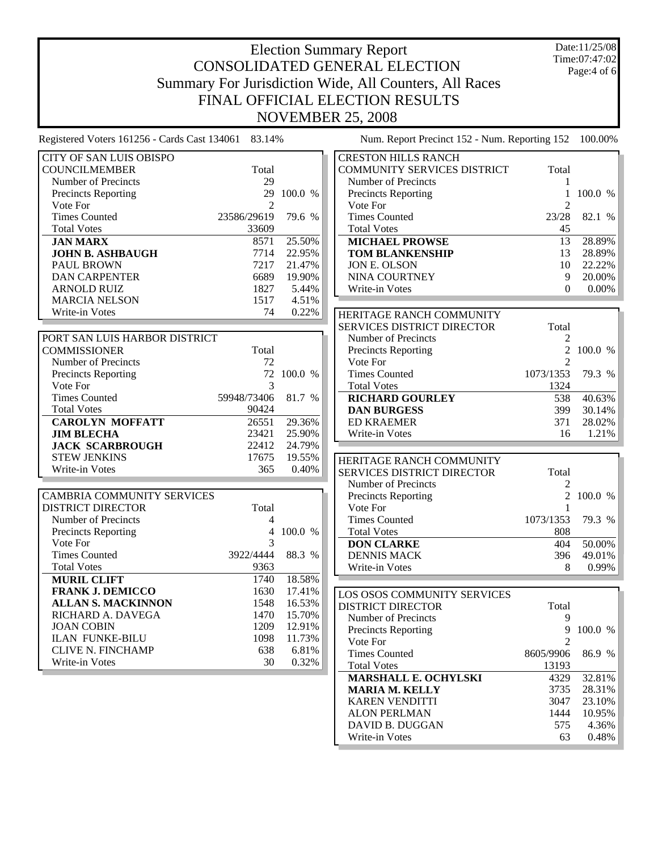Date:11/25/08 Time:07:47:02 Page:4 of 6

CITY OF SAN LUIS OBISPO COUNCILMEMBER Total Number of Precincts 29 Precincts Reporting 29 100.0 % Vote For 2 Times Counted 23586/29619 79.6 % Total Votes 33609 **JAN MARX** 8571 25.50% **JOHN B. ASHBAUGH** 7714 22.95%<br>PAUL BROWN 7217 21.47% PAUL BROWN DAN CARPENTER 6689 19.90% ARNOLD RUIZ 1827 5.44% MARCIA NELSON 1517 4.51% Write-in Votes 74 0.22%

| PORT SAN LUIS HARBOR DISTRICT |                    |          |
|-------------------------------|--------------------|----------|
| <b>COMMISSIONER</b>           | Total              |          |
| Number of Precincts           | 72                 |          |
| <b>Precincts Reporting</b>    |                    | 72 100.0 |
| Vote For                      |                    |          |
| <b>Times Counted</b>          | 59948/73406 81.7 % |          |
| <b>Total Votes</b>            | 90424              |          |
| <b>CAROLYN MOFFATT</b>        | 26551              | 29.36%   |
| <b>JIM BLECHA</b>             | 23421              | 25.90%   |
| <b>JACK SCARBROUGH</b>        | 22412              | 24.79%   |
| <b>STEW JENKINS</b>           | 17675              | 19.55%   |
| Write-in Votes                | 365                | 0.40%    |

| <b>CAMBRIA COMMUNITY SERVICES</b> |           |               |
|-----------------------------------|-----------|---------------|
| DISTRICT DIRECTOR                 | Total     |               |
| Number of Precincts               | 4         |               |
| <b>Precincts Reporting</b>        | 4         | 100.0<br>$\%$ |
| Vote For                          | 3         |               |
| <b>Times Counted</b>              | 3922/4444 | 88.3<br>$\%$  |
| <b>Total Votes</b>                | 9363      |               |
| <b>MURIL CLIFT</b>                | 1740      | 18.58%        |
| <b>FRANK J. DEMICCO</b>           | 1630      | 17.41%        |
| <b>ALLAN S. MACKINNON</b>         | 1548      | 16.53%        |
| RICHARD A. DAVEGA                 | 1470      | 15.70%        |
| <b>JOAN COBIN</b>                 | 1209      | 12.91%        |
| <b>ILAN FUNKE-BILU</b>            | 1098      | 11.73%        |
| CLIVE N. FINCHAMP                 | 638       | 6.81%         |
| Write-in Votes                    | 30        | 0.32%         |

| <b>CRESTON HILLS RANCH</b>  |                             |           |
|-----------------------------|-----------------------------|-----------|
| COMMUNITY SERVICES DISTRICT | Total                       |           |
| Number of Precincts         |                             |           |
| <b>Precincts Reporting</b>  |                             | $100.0\%$ |
| Vote For                    | $\mathcal{D}_{\mathcal{A}}$ |           |
| <b>Times Counted</b>        | 23/28                       | 82.1 %    |
| <b>Total Votes</b>          | 45                          |           |
| <b>MICHAEL PROWSE</b>       | 13                          | 28.89%    |
| <b>TOM BLANKENSHIP</b>      | 13                          | 28.89%    |
| <b>JON E. OLSON</b>         | 10                          | 22.22%    |
| <b>NINA COURTNEY</b>        | 9                           | 20.00%    |
| Write-in Votes              |                             |           |

| HERITAGE RANCH COMMUNITY   |                             |          |
|----------------------------|-----------------------------|----------|
| SERVICES DISTRICT DIRECTOR | Total                       |          |
| Number of Precincts        | 2                           |          |
| <b>Precincts Reporting</b> |                             | 2,100.0% |
| Vote For                   | $\mathcal{D}_{\mathcal{A}}$ |          |
| <b>Times Counted</b>       | 1073/1353 79.3 %            |          |
| <b>Total Votes</b>         | 1324                        |          |
| <b>RICHARD GOURLEY</b>     | 538                         | 40.63%   |
| <b>DAN BURGESS</b>         | 399                         | 30.14%   |
| <b>ED KRAEMER</b>          | 371                         | 28.02%   |
| Write-in Votes             | 16                          | 1.21%    |

| HERITAGE RANCH COMMUNITY          |                  |          |
|-----------------------------------|------------------|----------|
| <b>SERVICES DISTRICT DIRECTOR</b> | Total            |          |
| Number of Precincts               |                  |          |
| <b>Precincts Reporting</b>        |                  | 2,100.0% |
| Vote For                          |                  |          |
| <b>Times Counted</b>              | 1073/1353 79.3 % |          |
| <b>Total Votes</b>                | 808              |          |
| <b>DON CLARKE</b>                 | 404              | 50.00%   |
| <b>DENNIS MACK</b>                | 396-             | 49.01%   |
| Write-in Votes                    | 8                | 0.99%    |

| LOS OSOS COMMUNITY SERVICES |           |              |
|-----------------------------|-----------|--------------|
| DISTRICT DIRECTOR           | Total     |              |
| Number of Precincts         | 9         |              |
| <b>Precincts Reporting</b>  | 9         | 100.0        |
| Vote For                    |           |              |
| Times Counted               | 8605/9906 | 86.9<br>$\%$ |
| <b>Total Votes</b>          | 13193     |              |
| <b>MARSHALL E. OCHYLSKI</b> | 4329      | 32.81%       |
| <b>MARIA M. KELLY</b>       | 3735      | 28.31%       |
| <b>KAREN VENDITTI</b>       | 3047      | 23.10%       |
| ALON PERLMAN                | 1444      | 10.95%       |
| DAVID B. DUGGAN             | 575       | 4.36%        |
| Write-in Votes              | 63        | 0.48%        |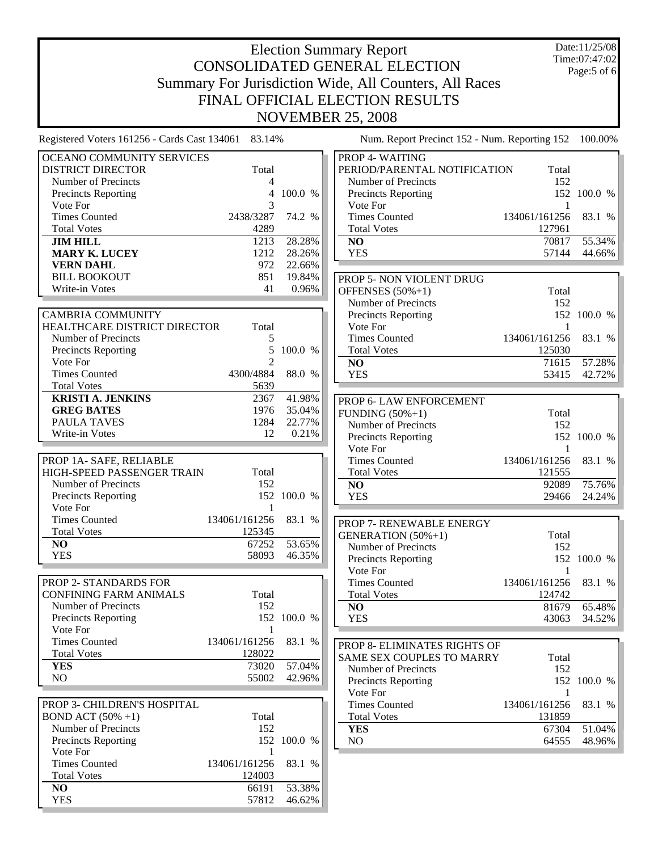Date:11/25/08 Time:07:47:02 Page:5 of 6

| OCEANO COMMUNITY SERVICES     |                |             | PROP 4- WAITING              |               |             |
|-------------------------------|----------------|-------------|------------------------------|---------------|-------------|
| <b>DISTRICT DIRECTOR</b>      | Total          |             | PERIOD/PARENTAL NOTIFICATION | Total         |             |
| Number of Precincts           | 4              |             | Number of Precincts          | 152           |             |
| Precincts Reporting           | $\overline{4}$ | 100.0 %     | Precincts Reporting          |               | 152 100.0 % |
| Vote For                      | 3              |             | Vote For                     | 1             |             |
| <b>Times Counted</b>          | 2438/3287      | 74.2 %      | <b>Times Counted</b>         | 134061/161256 | 83.1 %      |
| <b>Total Votes</b>            | 4289           |             | <b>Total Votes</b>           | 127961        |             |
| <b>JIM HILL</b>               | 1213           | 28.28%      | NO                           | 70817         | 55.34%      |
| <b>MARY K. LUCEY</b>          | 1212           | 28.26%      | <b>YES</b>                   | 57144         | 44.66%      |
| <b>VERN DAHL</b>              | 972            | 22.66%      |                              |               |             |
| <b>BILL BOOKOUT</b>           | 851            | 19.84%      | PROP 5- NON VIOLENT DRUG     |               |             |
| Write-in Votes                | 41             | 0.96%       | OFFENSES $(50\% + 1)$        | Total         |             |
|                               |                |             | Number of Precincts          | 152           |             |
| <b>CAMBRIA COMMUNITY</b>      |                |             | Precincts Reporting          |               | 152 100.0 % |
| HEALTHCARE DISTRICT DIRECTOR  | Total          |             | Vote For                     | $\mathbf{1}$  |             |
| Number of Precincts           | 5              |             | <b>Times Counted</b>         | 134061/161256 | 83.1 %      |
| Precincts Reporting           | 5              | 100.0 %     | <b>Total Votes</b>           | 125030        |             |
| Vote For                      | $\mathfrak{D}$ |             | NO                           | 71615         | 57.28%      |
| <b>Times Counted</b>          | 4300/4884      | 88.0 %      | <b>YES</b>                   | 53415         | 42.72%      |
| <b>Total Votes</b>            | 5639           |             |                              |               |             |
| <b>KRISTI A. JENKINS</b>      | 2367           | 41.98%      |                              |               |             |
| <b>GREG BATES</b>             | 1976           | 35.04%      | PROP 6- LAW ENFORCEMENT      |               |             |
| PAULA TAVES                   | 1284           | 22.77%      | FUNDING $(50\% + 1)$         | Total         |             |
| Write-in Votes                | 12             | 0.21%       | Number of Precincts          | 152           |             |
|                               |                |             | Precincts Reporting          |               | 152 100.0 % |
|                               |                |             | Vote For                     | $\mathbf{1}$  |             |
| PROP 1A-SAFE, RELIABLE        |                |             | <b>Times Counted</b>         | 134061/161256 | 83.1 %      |
| HIGH-SPEED PASSENGER TRAIN    | Total          |             | <b>Total Votes</b>           | 121555        |             |
| Number of Precincts           | 152            |             | NO                           | 92089         | 75.76%      |
| Precincts Reporting           |                | 152 100.0 % | <b>YES</b>                   | 29466         | 24.24%      |
| Vote For                      | 1              |             |                              |               |             |
| <b>Times Counted</b>          | 134061/161256  | 83.1 %      | PROP 7- RENEWABLE ENERGY     |               |             |
| <b>Total Votes</b>            | 125345         |             | <b>GENERATION</b> (50%+1)    | Total         |             |
| N <sub>O</sub>                | 67252          | 53.65%      | Number of Precincts          | 152           |             |
| <b>YES</b>                    | 58093          | 46.35%      | <b>Precincts Reporting</b>   |               | 152 100.0 % |
|                               |                |             | Vote For                     | 1             |             |
| PROP 2- STANDARDS FOR         |                |             | <b>Times Counted</b>         | 134061/161256 | 83.1 %      |
| <b>CONFINING FARM ANIMALS</b> | Total          |             | <b>Total Votes</b>           | 124742        |             |
| Number of Precincts           | 152            |             | NO                           | 81679         | 65.48%      |
| Precincts Reporting           |                | 152 100.0 % | <b>YES</b>                   | 43063         | 34.52%      |
| Vote For                      |                |             |                              |               |             |
| <b>Times Counted</b>          | 134061/161256  | 83.1 %      | PROP 8- ELIMINATES RIGHTS OF |               |             |
| <b>Total Votes</b>            | 128022         |             | SAME SEX COUPLES TO MARRY    | Total         |             |
| <b>YES</b>                    | 73020          | 57.04%      | Number of Precincts          | 152           |             |
| NO                            | 55002          | 42.96%      | Precincts Reporting          |               | 152 100.0 % |
|                               |                |             | Vote For                     | 1             |             |
| PROP 3- CHILDREN'S HOSPITAL   |                |             | <b>Times Counted</b>         | 134061/161256 | 83.1 %      |
| <b>BOND ACT</b> $(50\% +1)$   | Total          |             | <b>Total Votes</b>           | 131859        |             |
| Number of Precincts           | 152            |             |                              |               |             |
| <b>Precincts Reporting</b>    |                | 152 100.0 % | <b>YES</b>                   | 67304         | 51.04%      |
| Vote For                      | 1              |             | NO.                          | 64555         | 48.96%      |
| <b>Times Counted</b>          | 134061/161256  | 83.1 %      |                              |               |             |
|                               |                |             |                              |               |             |
| <b>Total Votes</b>            | 124003         |             |                              |               |             |
| NO                            | 66191          | 53.38%      |                              |               |             |
| <b>YES</b>                    | 57812          | 46.62%      |                              |               |             |